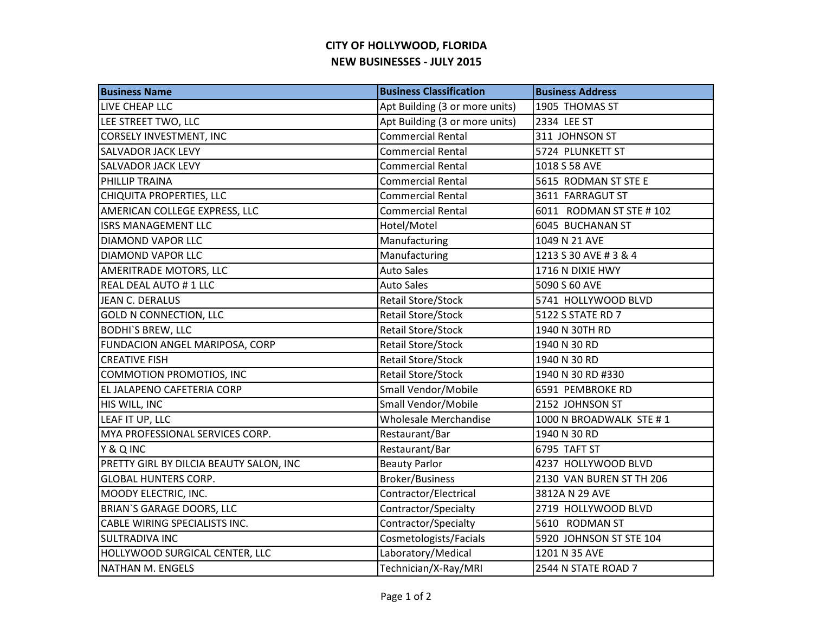## **CITY OF HOLLYWOOD, FLORIDA NEW BUSINESSES - JULY 2015**

| <b>Business Name</b>                    | <b>Business Classification</b> | <b>Business Address</b>  |
|-----------------------------------------|--------------------------------|--------------------------|
| LIVE CHEAP LLC                          | Apt Building (3 or more units) | 1905 THOMAS ST           |
| LEE STREET TWO, LLC                     | Apt Building (3 or more units) | 2334 LEE ST              |
| <b>CORSELY INVESTMENT, INC</b>          | <b>Commercial Rental</b>       | 311 JOHNSON ST           |
| <b>SALVADOR JACK LEVY</b>               | <b>Commercial Rental</b>       | 5724 PLUNKETT ST         |
| <b>SALVADOR JACK LEVY</b>               | <b>Commercial Rental</b>       | 1018 S 58 AVE            |
| PHILLIP TRAINA                          | <b>Commercial Rental</b>       | 5615 RODMAN ST STE E     |
| CHIQUITA PROPERTIES, LLC                | <b>Commercial Rental</b>       | 3611 FARRAGUT ST         |
| AMERICAN COLLEGE EXPRESS, LLC           | <b>Commercial Rental</b>       | 6011 RODMAN ST STE #102  |
| <b>ISRS MANAGEMENT LLC</b>              | Hotel/Motel                    | 6045 BUCHANAN ST         |
| <b>DIAMOND VAPOR LLC</b>                | Manufacturing                  | 1049 N 21 AVE            |
| <b>DIAMOND VAPOR LLC</b>                | Manufacturing                  | 1213 S 30 AVE # 3 & 4    |
| AMERITRADE MOTORS, LLC                  | <b>Auto Sales</b>              | 1716 N DIXIE HWY         |
| REAL DEAL AUTO #1 LLC                   | <b>Auto Sales</b>              | 5090 S 60 AVE            |
| JEAN C. DERALUS                         | Retail Store/Stock             | 5741 HOLLYWOOD BLVD      |
| <b>GOLD N CONNECTION, LLC</b>           | Retail Store/Stock             | 5122 S STATE RD 7        |
| <b>BODHI'S BREW, LLC</b>                | Retail Store/Stock             | 1940 N 30TH RD           |
| FUNDACION ANGEL MARIPOSA, CORP          | Retail Store/Stock             | 1940 N 30 RD             |
| <b>CREATIVE FISH</b>                    | Retail Store/Stock             | 1940 N 30 RD             |
| COMMOTION PROMOTIOS, INC                | <b>Retail Store/Stock</b>      | 1940 N 30 RD #330        |
| EL JALAPENO CAFETERIA CORP              | Small Vendor/Mobile            | 6591 PEMBROKE RD         |
| HIS WILL, INC                           | Small Vendor/Mobile            | 2152 JOHNSON ST          |
| LEAF IT UP, LLC                         | <b>Wholesale Merchandise</b>   | 1000 N BROADWALK STE #1  |
| MYA PROFESSIONAL SERVICES CORP.         | Restaurant/Bar                 | 1940 N 30 RD             |
| Y & Q INC                               | Restaurant/Bar                 | 6795 TAFT ST             |
| PRETTY GIRL BY DILCIA BEAUTY SALON, INC | <b>Beauty Parlor</b>           | 4237 HOLLYWOOD BLVD      |
| <b>GLOBAL HUNTERS CORP.</b>             | Broker/Business                | 2130 VAN BUREN ST TH 206 |
| MOODY ELECTRIC, INC.                    | Contractor/Electrical          | 3812A N 29 AVE           |
| <b>BRIAN'S GARAGE DOORS, LLC</b>        | Contractor/Specialty           | 2719 HOLLYWOOD BLVD      |
| <b>CABLE WIRING SPECIALISTS INC.</b>    | Contractor/Specialty           | 5610 RODMAN ST           |
| <b>SULTRADIVA INC</b>                   | Cosmetologists/Facials         | 5920 JOHNSON ST STE 104  |
| HOLLYWOOD SURGICAL CENTER, LLC          | Laboratory/Medical             | 1201 N 35 AVE            |
| NATHAN M. ENGELS                        | Technician/X-Ray/MRI           | 2544 N STATE ROAD 7      |